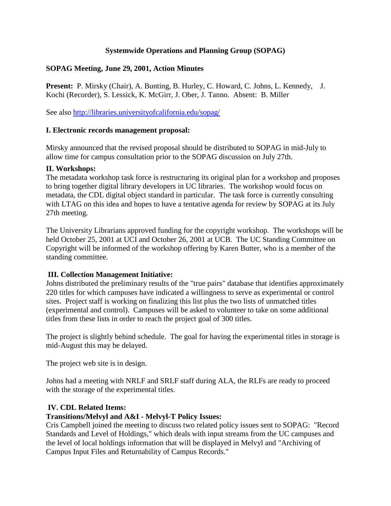## **Systemwide Operations and Planning Group (SOPAG)**

## **SOPAG Meeting, June 29, 2001, Action Minutes**

**Present:** P. Mirsky (Chair), A. Bunting, B. Hurley, C. Howard, C. Johns, L. Kennedy, J. Kochi (Recorder), S. Lessick, K. McGirr, J. Ober, J. Tanno. Absent: B. Miller

See also http://libraries.universityofcalifornia.edu/sopag/

#### **I. Electronic records management proposal:**

Mirsky announced that the revised proposal should be distributed to SOPAG in mid-July to allow time for campus consultation prior to the SOPAG discussion on July 27th.

#### **II. Workshops:**

The metadata workshop task force is restructuring its original plan for a workshop and proposes to bring together digital library developers in UC libraries. The workshop would focus on metadata, the CDL digital object standard in particular. The task force is currently consulting with LTAG on this idea and hopes to have a tentative agenda for review by SOPAG at its July 27th meeting.

The University Librarians approved funding for the copyright workshop. The workshops will be held October 25, 2001 at UCI and October 26, 2001 at UCB. The UC Standing Committee on Copyright will be informed of the workshop offering by Karen Butter, who is a member of the standing committee.

#### **III. Collection Management Initiative:**

Johns distributed the preliminary results of the "true pairs" database that identifies approximately 220 titles for which campuses have indicated a willingness to serve as experimental or control sites. Project staff is working on finalizing this list plus the two lists of unmatched titles (experimental and control). Campuses will be asked to volunteer to take on some additional titles from these lists in order to reach the project goal of 300 titles.

The project is slightly behind schedule. The goal for having the experimental titles in storage is mid-August this may be delayed.

The project web site is in design.

Johns had a meeting with NRLF and SRLF staff during ALA, the RLFs are ready to proceed with the storage of the experimental titles.

## **IV. CDL Related Items:**

## **Transitions/Melvyl and A&I - Melvyl-T Policy Issues:**

Cris Campbell joined the meeting to discuss two related policy issues sent to SOPAG: "Record Standards and Level of Holdings," which deals with input streams from the UC campuses and the level of local holdings information that will be displayed in Melvyl and "Archiving of Campus Input Files and Returnability of Campus Records."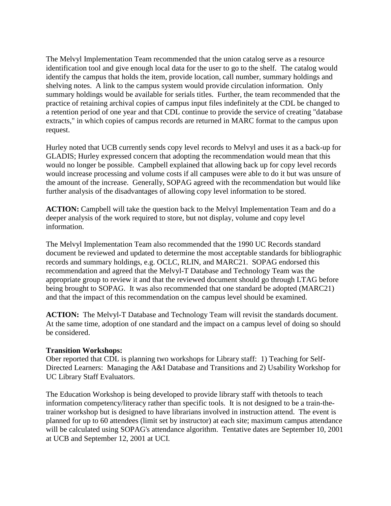The Melvyl Implementation Team recommended that the union catalog serve as a resource identification tool and give enough local data for the user to go to the shelf. The catalog would identify the campus that holds the item, provide location, call number, summary holdings and shelving notes. A link to the campus system would provide circulation information. Only summary holdings would be available for serials titles. Further, the team recommended that the practice of retaining archival copies of campus input files indefinitely at the CDL be changed to a retention period of one year and that CDL continue to provide the service of creating "database extracts," in which copies of campus records are returned in MARC format to the campus upon request.

Hurley noted that UCB currently sends copy level records to Melvyl and uses it as a back-up for GLADIS; Hurley expressed concern that adopting the recommendation would mean that this would no longer be possible. Campbell explained that allowing back up for copy level records would increase processing and volume costs if all campuses were able to do it but was unsure of the amount of the increase. Generally, SOPAG agreed with the recommendation but would like further analysis of the disadvantages of allowing copy level information to be stored.

**ACTION:** Campbell will take the question back to the Melvyl Implementation Team and do a deeper analysis of the work required to store, but not display, volume and copy level information.

The Melvyl Implementation Team also recommended that the 1990 UC Records standard document be reviewed and updated to determine the most acceptable standards for bibliographic records and summary holdings, e.g. OCLC, RLIN, and MARC21. SOPAG endorsed this recommendation and agreed that the Melvyl-T Database and Technology Team was the appropriate group to review it and that the reviewed document should go through LTAG before being brought to SOPAG. It was also recommended that one standard be adopted (MARC21) and that the impact of this recommendation on the campus level should be examined.

**ACTION:** The Melvyl-T Database and Technology Team will revisit the standards document. At the same time, adoption of one standard and the impact on a campus level of doing so should be considered.

#### **Transition Workshops:**

Ober reported that CDL is planning two workshops for Library staff: 1) Teaching for Self-Directed Learners: Managing the A&I Database and Transitions and 2) Usability Workshop for UC Library Staff Evaluators.

The Education Workshop is being developed to provide library staff with thetools to teach information competency/literacy rather than specific tools. It is not designed to be a train-thetrainer workshop but is designed to have librarians involved in instruction attend. The event is planned for up to 60 attendees (limit set by instructor) at each site; maximum campus attendance will be calculated using SOPAG's attendance algorithm. Tentative dates are September 10, 2001 at UCB and September 12, 2001 at UCI.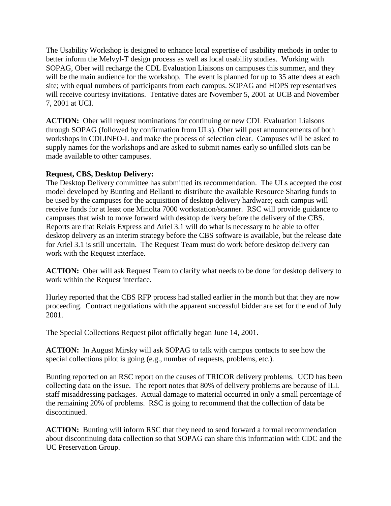The Usability Workshop is designed to enhance local expertise of usability methods in order to better inform the Melvyl-T design process as well as local usability studies. Working with SOPAG, Ober will recharge the CDL Evaluation Liaisons on campuses this summer, and they will be the main audience for the workshop. The event is planned for up to 35 attendees at each site; with equal numbers of participants from each campus. SOPAG and HOPS representatives will receive courtesy invitations. Tentative dates are November 5, 2001 at UCB and November 7, 2001 at UCI.

**ACTION:** Ober will request nominations for continuing or new CDL Evaluation Liaisons through SOPAG (followed by confirmation from ULs). Ober will post announcements of both workshops in CDLINFO-L and make the process of selection clear. Campuses will be asked to supply names for the workshops and are asked to submit names early so unfilled slots can be made available to other campuses.

## **Request, CBS, Desktop Delivery:**

The Desktop Delivery committee has submitted its recommendation. The ULs accepted the cost model developed by Bunting and Bellanti to distribute the available Resource Sharing funds to be used by the campuses for the acquisition of desktop delivery hardware; each campus will receive funds for at least one Minolta 7000 workstation/scanner. RSC will provide guidance to campuses that wish to move forward with desktop delivery before the delivery of the CBS. Reports are that Relais Express and Ariel 3.1 will do what is necessary to be able to offer desktop delivery as an interim strategy before the CBS software is available, but the release date for Ariel 3.1 is still uncertain. The Request Team must do work before desktop delivery can work with the Request interface.

**ACTION:** Ober will ask Request Team to clarify what needs to be done for desktop delivery to work within the Request interface.

Hurley reported that the CBS RFP process had stalled earlier in the month but that they are now proceeding. Contract negotiations with the apparent successful bidder are set for the end of July 2001.

The Special Collections Request pilot officially began June 14, 2001.

**ACTION:** In August Mirsky will ask SOPAG to talk with campus contacts to see how the special collections pilot is going (e.g., number of requests, problems, etc.).

Bunting reported on an RSC report on the causes of TRICOR delivery problems. UCD has been collecting data on the issue. The report notes that 80% of delivery problems are because of ILL staff misaddressing packages. Actual damage to material occurred in only a small percentage of the remaining 20% of problems. RSC is going to recommend that the collection of data be discontinued.

**ACTION:** Bunting will inform RSC that they need to send forward a formal recommendation about discontinuing data collection so that SOPAG can share this information with CDC and the UC Preservation Group.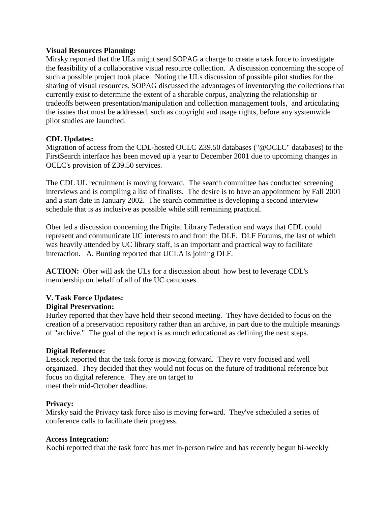#### **Visual Resources Planning:**

Mirsky reported that the ULs might send SOPAG a charge to create a task force to investigate the feasibility of a collaborative visual resource collection. A discussion concerning the scope of such a possible project took place. Noting the ULs discussion of possible pilot studies for the sharing of visual resources, SOPAG discussed the advantages of inventorying the collections that currently exist to determine the extent of a sharable corpus, analyzing the relationship or tradeoffs between presentation/manipulation and collection management tools, and articulating the issues that must be addressed, such as copyright and usage rights, before any systemwide pilot studies are launched.

#### **CDL Updates:**

Migration of access from the CDL-hosted OCLC Z39.50 databases ("@OCLC" databases) to the FirstSearch interface has been moved up a year to December 2001 due to upcoming changes in OCLC's provision of Z39.50 services.

The CDL UL recruitment is moving forward. The search committee has conducted screening interviews and is compiling a list of finalists. The desire is to have an appointment by Fall 2001 and a start date in January 2002. The search committee is developing a second interview schedule that is as inclusive as possible while still remaining practical.

Ober led a discussion concerning the Digital Library Federation and ways that CDL could represent and communicate UC interests to and from the DLF. DLF Forums, the last of which was heavily attended by UC library staff, is an important and practical way to facilitate interaction. A. Bunting reported that UCLA is joining DLF.

**ACTION:** Ober will ask the ULs for a discussion about how best to leverage CDL's membership on behalf of all of the UC campuses.

# **V. Task Force Updates:**

#### **Digital Preservation:**

Hurley reported that they have held their second meeting. They have decided to focus on the creation of a preservation repository rather than an archive, in part due to the multiple meanings of "archive." The goal of the report is as much educational as defining the next steps.

#### **Digital Reference:**

Lessick reported that the task force is moving forward. They're very focused and well organized. They decided that they would not focus on the future of traditional reference but focus on digital reference. They are on target to meet their mid-October deadline.

#### **Privacy:**

Mirsky said the Privacy task force also is moving forward. They've scheduled a series of conference calls to facilitate their progress.

#### **Access Integration:**

Kochi reported that the task force has met in-person twice and has recently begun bi-weekly